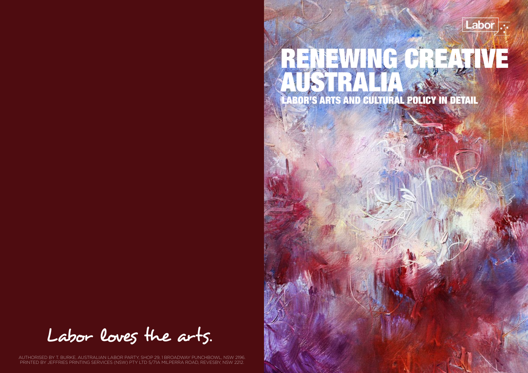

### LABOR'S ARTS AND CULTURAL POLICY IN DETAIL RENEWING CREATIVE AUSTRALIA

Labor loves the arts.

AUTHORISED BY T. BURKE, AUSTRALIAN LABOR PARTY, SHOP 29, 1 BROADWAY PUNCHBOWL, NSW 2196. PRINTED BY JEFFRIES PRINTING SERVICES (NSW) PTY LTD 5/71A MILPERRA ROAD, REVESBY, NSW 2212.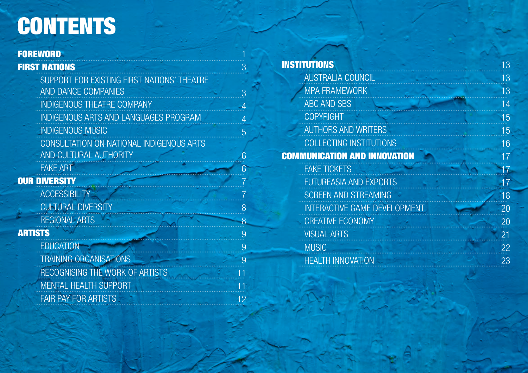## **CONTENTS**

**FAIR PAY FOR ARTISTS** 

### **FOREWORD**

### **FIRST NATIONS**

SUPPORT FOR EXISTING FIRST NATIONS' THEATRE AND DANCE COMPANIES **INDIGENOUS THEATRE COMPANY INDIGENOUS ARTS AND LANGUAGES PROGRAM INDIGENOUS MUSIC** CONSULTATION ON NATIONAL INDIGENOUS ARTS AND CULTURAL AUTHORITY **FAKE ART OUR DIVERSITY ACCESSIBILITY CULTURAL DIVERSITY REGIONAL ARTS ARTISTS FDUCATION TRAINING ORGANISATIONS RECOGNISING THE WORK OF ARTISTS MENTAL HEALTH SUPPORT** 

| <b>STITUTIONS</b>                   |  |
|-------------------------------------|--|
| <b>AUSTRALIA COUNCIL</b>            |  |
| <b>MPA FRAMEWORK</b>                |  |
| <b>ABC AND SBS</b>                  |  |
| <b>COPYRIGHT</b>                    |  |
| <b>AUTHORS AND WRITERS</b>          |  |
| <b>COLLECTING INSTITUTIONS</b>      |  |
| <b>IMMUNICATION AND INNOVATION</b>  |  |
| <b>FAKE TICKETS</b>                 |  |
| <b>FUTUREASIA AND EXPORTS</b>       |  |
| <b>SCREEN AND STREAMING</b>         |  |
| <b>INTERACTIVE GAME DEVELOPMENT</b> |  |
| <b>CREATIVE ECONOMY</b>             |  |
| <b>VISUAL ARTS</b>                  |  |
| <b>MUSIC</b>                        |  |
| <b>HEALTH INNOVATION</b>            |  |

 $13$ 

13

13

 $14$ 

 $15$ 

15

 $16$ 

 $17$ 

47

 $17$ 

 $18$ 

 $\overline{20}$ 

20

 $21$ 

22

23

**IN** 

**CO** 

3

3

 $\overline{5}$ 

6

6

8

 $\overline{8}$ 

9

9

9

 $12<sup>1</sup>$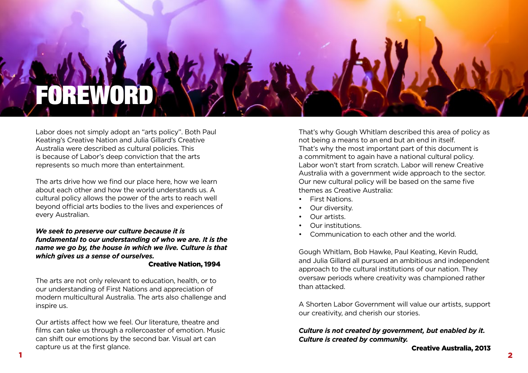

Labor does not simply adopt an "arts policy". Both Paul Keating's Creative Nation and Julia Gillard's Creative Australia were described as cultural policies. This is because of Labor's deep conviction that the arts represents so much more than entertainment.

The arts drive how we find our place here, how we learn about each other and how the world understands us. A cultural policy allows the power of the arts to reach well beyond official arts bodies to the lives and experiences of every Australian.

*We seek to preserve our culture because it is fundamental to our understanding of who we are. It is the name we go by, the house in which we live. Culture is that which gives us a sense of ourselves.* 

#### Creative Nation, 1994

The arts are not only relevant to education, health, or to our understanding of First Nations and appreciation of modern multicultural Australia. The arts also challenge and inspire us.

Our artists affect how we feel. Our literature, theatre and films can take us through a rollercoaster of emotion. Music can shift our emotions by the second bar. Visual art can capture us at the first glance.

That's why Gough Whitlam described this area of policy as not being a means to an end but an end in itself. That's why the most important part of this document is a commitment to again have a national cultural policy. Labor won't start from scratch. Labor will renew Creative Australia with a government wide approach to the sector. Our new cultural policy will be based on the same five themes as Creative Australia:

- First Nations.
- Our diversity.
- Our artists.
- Our institutions.
- Communication to each other and the world.

Gough Whitlam, Bob Hawke, Paul Keating, Kevin Rudd, and Julia Gillard all pursued an ambitious and independent approach to the cultural institutions of our nation. They oversaw periods where creativity was championed rather than attacked.

A Shorten Labor Government will value our artists, support our creativity, and cherish our stories.

#### *Culture is not created by government, but enabled by it. Culture is created by community.*

Creative Australia, 2013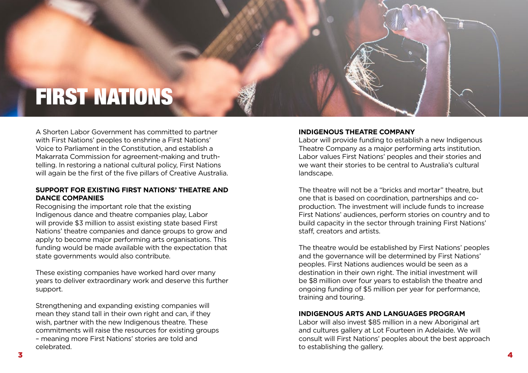## FIRST NATIONS

A Shorten Labor Government has committed to partner with First Nations' peoples to enshrine a First Nations' Voice to Parliament in the Constitution, and establish a Makarrata Commission for agreement-making and truthtelling. In restoring a national cultural policy, First Nations will again be the first of the five pillars of Creative Australia.

#### **SUPPORT FOR EXISTING FIRST NATIONS' THEATRE AND DANCE COMPANIES**

Recognising the important role that the existing Indigenous dance and theatre companies play, Labor will provide \$3 million to assist existing state based First Nations' theatre companies and dance groups to grow and apply to become major performing arts organisations. This funding would be made available with the expectation that state governments would also contribute.

These existing companies have worked hard over many years to deliver extraordinary work and deserve this further support.

Strengthening and expanding existing companies will mean they stand tall in their own right and can, if they wish, partner with the new Indigenous theatre. These commitments will raise the resources for existing groups – meaning more First Nations' stories are told and celebrated.

#### **INDIGENOUS THEATRE COMPANY**

Labor will provide funding to establish a new Indigenous Theatre Company as a major performing arts institution. Labor values First Nations' peoples and their stories and we want their stories to be central to Australia's cultural landscape.

The theatre will not be a "bricks and mortar" theatre, but one that is based on coordination, partnerships and coproduction. The investment will include funds to increase First Nations' audiences, perform stories on country and to build capacity in the sector through training First Nations' staff, creators and artists.

The theatre would be established by First Nations' peoples and the governance will be determined by First Nations' peoples. First Nations audiences would be seen as a destination in their own right. The initial investment will be \$8 million over four years to establish the theatre and ongoing funding of \$5 million per year for performance, training and touring.

#### **INDIGENOUS ARTS AND LANGUAGES PROGRAM**

Labor will also invest \$85 million in a new Aboriginal art and cultures gallery at Lot Fourteen in Adelaide. We will consult will First Nations' peoples about the best approach to establishing the gallery.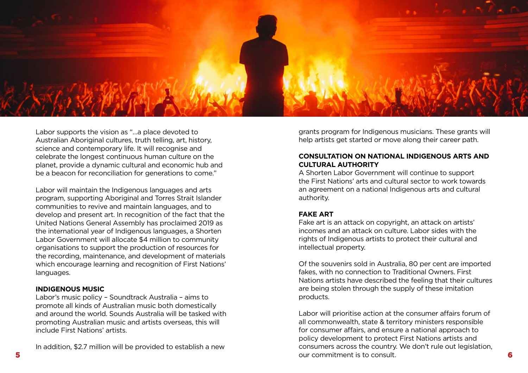

Labor supports the vision as "…a place devoted to Australian Aboriginal cultures, truth telling, art, history, science and contemporary life. It will recognise and celebrate the longest continuous human culture on the planet, provide a dynamic cultural and economic hub and be a beacon for reconciliation for generations to come."

Labor will maintain the Indigenous languages and arts program, supporting Aboriginal and Torres Strait Islander communities to revive and maintain languages, and to develop and present art. In recognition of the fact that the United Nations General Assembly has proclaimed 2019 as the international year of Indigenous languages, a Shorten Labor Government will allocate \$4 million to community organisations to support the production of resources for the recording, maintenance, and development of materials which encourage learning and recognition of First Nations' languages.

#### **INDIGENOUS MUSIC**

Labor's music policy – Soundtrack Australia – aims to promote all kinds of Australian music both domestically and around the world. Sounds Australia will be tasked with promoting Australian music and artists overseas, this will include First Nations' artists.

In addition, \$2.7 million will be provided to establish a new

grants program for Indigenous musicians. These grants will help artists get started or move along their career path.

#### **CONSULTATION ON NATIONAL INDIGENOUS ARTS AND CULTURAL AUTHORITY**

A Shorten Labor Government will continue to support the First Nations' arts and cultural sector to work towards an agreement on a national Indigenous arts and cultural authority.

#### **FAKE ART**

Fake art is an attack on copyright, an attack on artists' incomes and an attack on culture. Labor sides with the rights of Indigenous artists to protect their cultural and intellectual property.

Of the souvenirs sold in Australia, 80 per cent are imported fakes, with no connection to Traditional Owners. First Nations artists have described the feeling that their cultures are being stolen through the supply of these imitation products.

5 6 our commitment is to consult. Labor will prioritise action at the consumer affairs forum of all commonwealth, state & territory ministers responsible for consumer affairs, and ensure a national approach to policy development to protect First Nations artists and consumers across the country. We don't rule out legislation,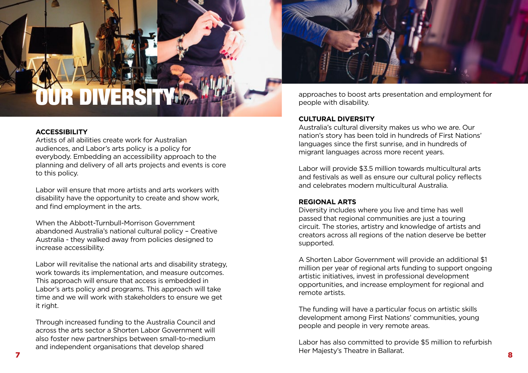# OUR DIV

#### **ACCESSIBILITY**

Artists of all abilities create work for Australian audiences, and Labor's arts policy is a policy for everybody. Embedding an accessibility approach to the planning and delivery of all arts projects and events is core to this policy.

Labor will ensure that more artists and arts workers with disability have the opportunity to create and show work, and find employment in the arts.

When the Abbott-Turnbull-Morrison Government abandoned Australia's national cultural policy – Creative Australia - they walked away from policies designed to increase accessibility.

Labor will revitalise the national arts and disability strategy, work towards its implementation, and measure outcomes. This approach will ensure that access is embedded in Labor's arts policy and programs. This approach will take time and we will work with stakeholders to ensure we get it right.

Through increased funding to the Australia Council and across the arts sector a Shorten Labor Government will also foster new partnerships between small-to-medium and independent organisations that develop shared



approaches to boost arts presentation and employment for people with disability.

#### **CULTURAL DIVERSITY**

Australia's cultural diversity makes us who we are. Our nation's story has been told in hundreds of First Nations' languages since the first sunrise, and in hundreds of migrant languages across more recent years.

Labor will provide \$3.5 million towards multicultural arts and festivals as well as ensure our cultural policy reflects and celebrates modern multicultural Australia.

#### **REGIONAL ARTS**

Diversity includes where you live and time has well passed that regional communities are just a touring circuit. The stories, artistry and knowledge of artists and creators across all regions of the nation deserve be better supported.

A Shorten Labor Government will provide an additional \$1 million per year of regional arts funding to support ongoing artistic initiatives, invest in professional development opportunities, and increase employment for regional and remote artists.

The funding will have a particular focus on artistic skills development among First Nations' communities, young people and people in very remote areas.

Labor has also committed to provide \$5 million to refurbish Her Majesty's Theatre in Ballarat.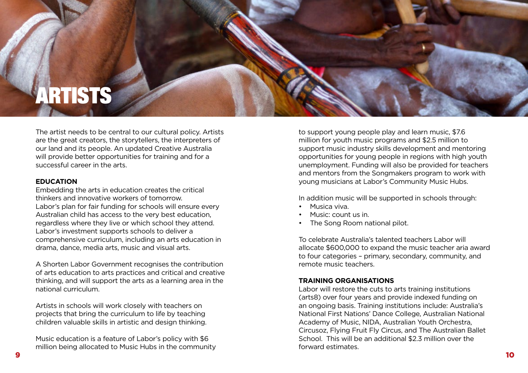# **RTISTS**

The artist needs to be central to our cultural policy. Artists are the great creators, the storytellers, the interpreters of our land and its people. An updated Creative Australia will provide better opportunities for training and for a successful career in the arts.

#### **EDUCATION**

Embedding the arts in education creates the critical thinkers and innovative workers of tomorrow. Labor's plan for fair funding for schools will ensure every Australian child has access to the very best education, regardless where they live or which school they attend. Labor's investment supports schools to deliver a comprehensive curriculum, including an arts education in drama, dance, media arts, music and visual arts.

A Shorten Labor Government recognises the contribution of arts education to arts practices and critical and creative thinking, and will support the arts as a learning area in the national curriculum.

Artists in schools will work closely with teachers on projects that bring the curriculum to life by teaching children valuable skills in artistic and design thinking.

Music education is a feature of Labor's policy with \$6 million being allocated to Music Hubs in the community to support young people play and learn music, \$7.6 million for youth music programs and \$2.5 million to support music industry skills development and mentoring opportunities for young people in regions with high youth unemployment. Funding will also be provided for teachers and mentors from the Songmakers program to work with young musicians at Labor's Community Music Hubs.

In addition music will be supported in schools through:

- Musica viva.
- Music: count us in.
- The Song Room national pilot.

To celebrate Australia's talented teachers Labor will allocate \$600,000 to expand the music teacher aria award to four categories – primary, secondary, community, and remote music teachers.

#### **TRAINING ORGANISATIONS**

Labor will restore the cuts to arts training institutions (arts8) over four years and provide indexed funding on an ongoing basis. Training institutions include: Australia's National First Nations' Dance College, Australian National Academy of Music, NIDA, Australian Youth Orchestra, Circusoz, Flying Fruit Fly Circus, and The Australian Ballet School. This will be an additional \$2.3 million over the forward estimates.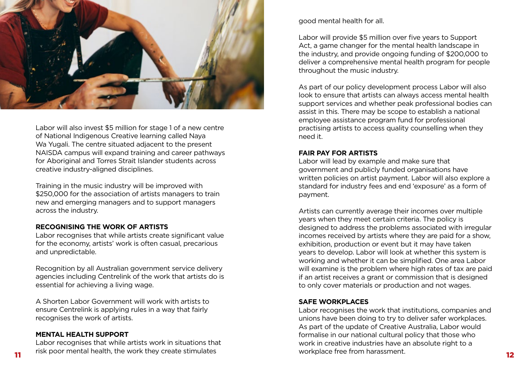

Labor will also invest \$5 million for stage 1 of a new centre of National Indigenous Creative learning called Naya Wa Yugali. The centre situated adjacent to the present NAISDA campus will expand training and career pathways for Aboriginal and Torres Strait Islander students across creative industry-aligned disciplines.

Training in the music industry will be improved with \$250,000 for the association of artists managers to train new and emerging managers and to support managers across the industry.

#### **RECOGNISING THE WORK OF ARTISTS**

Labor recognises that while artists create significant value for the economy, artists' work is often casual, precarious and unpredictable.

Recognition by all Australian government service delivery agencies including Centrelink of the work that artists do is essential for achieving a living wage.

A Shorten Labor Government will work with artists to ensure Centrelink is applying rules in a way that fairly recognises the work of artists.

#### **MENTAL HEALTH SUPPORT**

Labor recognises that while artists work in situations that

good mental health for all.

Labor will provide \$5 million over five years to Support Act, a game changer for the mental health landscape in the industry, and provide ongoing funding of \$200,000 to deliver a comprehensive mental health program for people throughout the music industry.

As part of our policy development process Labor will also look to ensure that artists can always access mental health support services and whether peak professional bodies can assist in this. There may be scope to establish a national employee assistance program fund for professional practising artists to access quality counselling when they need it.

#### **FAIR PAY FOR ARTISTS**

Labor will lead by example and make sure that government and publicly funded organisations have written policies on artist payment. Labor will also explore a standard for industry fees and end 'exposure' as a form of payment.

Artists can currently average their incomes over multiple years when they meet certain criteria. The policy is designed to address the problems associated with irregular incomes received by artists where they are paid for a show, exhibition, production or event but it may have taken years to develop. Labor will look at whether this system is working and whether it can be simplified. One area Labor will examine is the problem where high rates of tax are paid if an artist receives a grant or commission that is designed to only cover materials or production and not wages.

#### **SAFE WORKPLACES**

11 tisk poor mental health, the work they create stimulates workplace free from harassment. Labor recognises the work that institutions, companies and unions have been doing to try to deliver safer workplaces. As part of the update of Creative Australia, Labor would formalise in our national cultural policy that those who work in creative industries have an absolute right to a workplace free from harassment.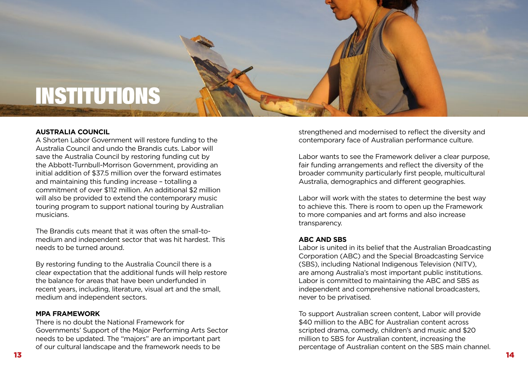## **INSTITUTIONS**

#### **AUSTRALIA COUNCIL**

A Shorten Labor Government will restore funding to the Australia Council and undo the Brandis cuts. Labor will save the Australia Council by restoring funding cut by the Abbott-Turnbull-Morrison Government, providing an initial addition of \$37.5 million over the forward estimates and maintaining this funding increase – totalling a commitment of over \$112 million. An additional \$2 million will also be provided to extend the contemporary music touring program to support national touring by Australian musicians.

The Brandis cuts meant that it was often the small-tomedium and independent sector that was hit hardest. This needs to be turned around.

By restoring funding to the Australia Council there is a clear expectation that the additional funds will help restore the balance for areas that have been underfunded in recent years, including, literature, visual art and the small, medium and independent sectors.

#### **MPA FRAMEWORK**

There is no doubt the National Framework for Governments' Support of the Major Performing Arts Sector needs to be updated. The "majors" are an important part of our cultural landscape and the framework needs to be

strengthened and modernised to reflect the diversity and contemporary face of Australian performance culture.

Labor wants to see the Framework deliver a clear purpose, fair funding arrangements and reflect the diversity of the broader community particularly first people, multicultural Australia, demographics and different geographies.

Labor will work with the states to determine the best way to achieve this. There is room to open up the Framework to more companies and art forms and also increase transparency.

#### **ABC AND SBS**

Labor is united in its belief that the Australian Broadcasting Corporation (ABC) and the Special Broadcasting Service (SBS), including National Indigenous Television (NITV), are among Australia's most important public institutions. Labor is committed to maintaining the ABC and SBS as independent and comprehensive national broadcasters, never to be privatised.

To support Australian screen content, Labor will provide \$40 million to the ABC for Australian content across scripted drama, comedy, children's and music and \$20 million to SBS for Australian content, increasing the percentage of Australian content on the SBS main channel.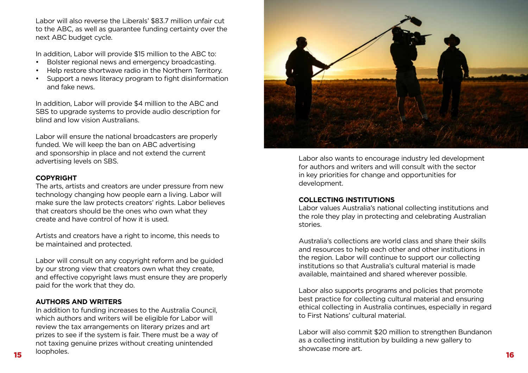Labor will also reverse the Liberals' \$83.7 million unfair cut to the ABC, as well as guarantee funding certainty over the next ABC budget cycle.

In addition, Labor will provide \$15 million to the ABC to:

- Bolster regional news and emergency broadcasting.
- Help restore shortwave radio in the Northern Territory.
- Support a news literacy program to fight disinformation and fake news.

In addition, Labor will provide \$4 million to the ABC and SBS to upgrade systems to provide audio description for blind and low vision Australians.

Labor will ensure the national broadcasters are properly funded. We will keep the ban on ABC advertising and sponsorship in place and not extend the current advertising levels on SBS.

#### **COPYRIGHT**

The arts, artists and creators are under pressure from new technology changing how people earn a living. Labor will make sure the law protects creators' rights. Labor believes that creators should be the ones who own what they create and have control of how it is used.

Artists and creators have a right to income, this needs to be maintained and protected.

Labor will consult on any copyright reform and be guided by our strong view that creators own what they create, and effective copyright laws must ensure they are properly paid for the work that they do.

#### **AUTHORS AND WRITERS**

 $15$  16 and 16 and 16 and 16 and 16 and 16 and 16 and 16 and 16 and 16 and 16 and 16 and 16 and 16 and 16 and 16 and 16 and 16 and 16 and 16 and 16 and 16 and 16 and 16 and 16 and 16 and 16 and 16 and 16 and 16 and 16 and In addition to funding increases to the Australia Council, which authors and writers will be eligible for Labor will review the tax arrangements on literary prizes and art prizes to see if the system is fair. There must be a way of not taxing genuine prizes without creating unintended loopholes.



Labor also wants to encourage industry led development for authors and writers and will consult with the sector in key priorities for change and opportunities for development.

#### **COLLECTING INSTITUTIONS**

Labor values Australia's national collecting institutions and the role they play in protecting and celebrating Australian stories.

Australia's collections are world class and share their skills and resources to help each other and other institutions in the region. Labor will continue to support our collecting institutions so that Australia's cultural material is made available, maintained and shared wherever possible.

Labor also supports programs and policies that promote best practice for collecting cultural material and ensuring ethical collecting in Australia continues, especially in regard to First Nations' cultural material.

Labor will also commit \$20 million to strengthen Bundanon as a collecting institution by building a new gallery to showcase more art.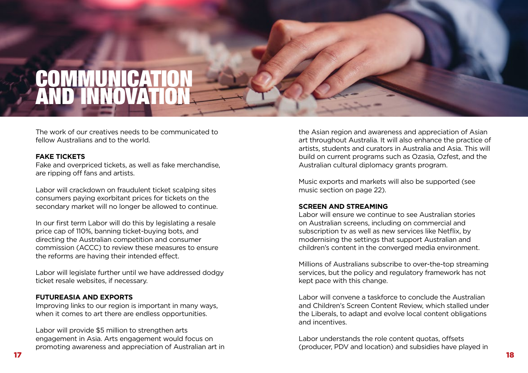### **COMMUNICATION** AND INNOVATION

The work of our creatives needs to be communicated to fellow Australians and to the world.

#### **FAKE TICKETS**

Fake and overpriced tickets, as well as fake merchandise, are ripping off fans and artists.

Labor will crackdown on fraudulent ticket scalping sites consumers paying exorbitant prices for tickets on the secondary market will no longer be allowed to continue.

In our first term Labor will do this by legislating a resale price cap of 110%, banning ticket-buying bots, and directing the Australian competition and consumer commission (ACCC) to review these measures to ensure the reforms are having their intended effect.

Labor will legislate further until we have addressed dodgy ticket resale websites, if necessary.

#### **FUTUREASIA AND EXPORTS**

Improving links to our region is important in many ways, when it comes to art there are endless opportunities.

Labor will provide \$5 million to strengthen arts engagement in Asia. Arts engagement would focus on promoting awareness and appreciation of Australian art in

the Asian region and awareness and appreciation of Asian art throughout Australia. It will also enhance the practice of artists, students and curators in Australia and Asia. This will build on current programs such as Ozasia, Ozfest, and the Australian cultural diplomacy grants program.

Music exports and markets will also be supported (see music section on page 22).

#### **SCREEN AND STREAMING**

Labor will ensure we continue to see Australian stories on Australian screens, including on commercial and subscription tv as well as new services like Netflix, by modernising the settings that support Australian and children's content in the converged media environment.

Millions of Australians subscribe to over-the-top streaming services, but the policy and regulatory framework has not kept pace with this change.

Labor will convene a taskforce to conclude the Australian and Children's Screen Content Review, which stalled under the Liberals, to adapt and evolve local content obligations and incentives.

Labor understands the role content quotas, offsets (producer, PDV and location) and subsidies have played in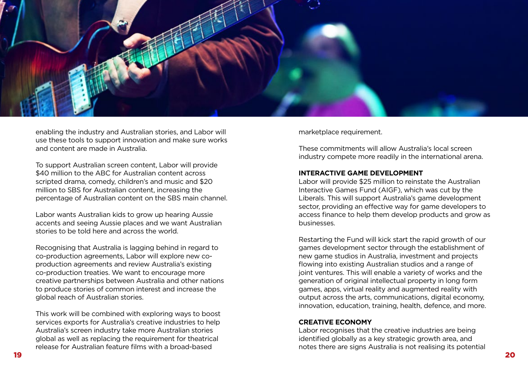

enabling the industry and Australian stories, and Labor will use these tools to support innovation and make sure works and content are made in Australia.

To support Australian screen content, Labor will provide \$40 million to the ABC for Australian content across scripted drama, comedy, children's and music and \$20 million to SBS for Australian content, increasing the percentage of Australian content on the SBS main channel.

Labor wants Australian kids to grow up hearing Aussie accents and seeing Aussie places and we want Australian stories to be told here and across the world.

Recognising that Australia is lagging behind in regard to co-production agreements, Labor will explore new coproduction agreements and review Australia's existing co-production treaties. We want to encourage more creative partnerships between Australia and other nations to produce stories of common interest and increase the global reach of Australian stories.

This work will be combined with exploring ways to boost services exports for Australia's creative industries to help Australia's screen industry take more Australian stories global as well as replacing the requirement for theatrical release for Australian feature films with a broad-based

marketplace requirement.

These commitments will allow Australia's local screen industry compete more readily in the international arena.

#### **INTERACTIVE GAME DEVELOPMENT**

Labor will provide \$25 million to reinstate the Australian Interactive Games Fund (AIGF), which was cut by the Liberals. This will support Australia's game development sector, providing an effective way for game developers to access finance to help them develop products and grow as businesses.

Restarting the Fund will kick start the rapid growth of our games development sector through the establishment of new game studios in Australia, investment and projects flowing into existing Australian studios and a range of joint ventures. This will enable a variety of works and the generation of original intellectual property in long form games, apps, virtual reality and augmented reality with output across the arts, communications, digital economy, innovation, education, training, health, defence, and more.

#### **CREATIVE ECONOMY**

Labor recognises that the creative industries are being identified globally as a key strategic growth area, and notes there are signs Australia is not realising its potential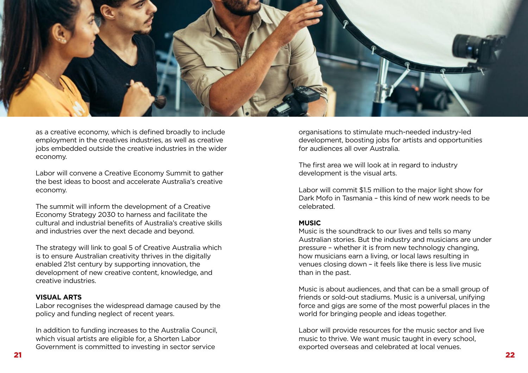

as a creative economy, which is defined broadly to include employment in the creatives industries, as well as creative jobs embedded outside the creative industries in the wider economy.

Labor will convene a Creative Economy Summit to gather the best ideas to boost and accelerate Australia's creative economy.

The summit will inform the development of a Creative Economy Strategy 2030 to harness and facilitate the cultural and industrial benefits of Australia's creative skills and industries over the next decade and beyond.

The strategy will link to goal 5 of Creative Australia which is to ensure Australian creativity thrives in the digitally enabled 21st century by supporting innovation, the development of new creative content, knowledge, and creative industries.

#### **VISUAL ARTS**

Labor recognises the widespread damage caused by the policy and funding neglect of recent years.

In addition to funding increases to the Australia Council, which visual artists are eligible for, a Shorten Labor Government is committed to investing in sector service

organisations to stimulate much-needed industry-led development, boosting jobs for artists and opportunities for audiences all over Australia.

The first area we will look at in regard to industry development is the visual arts.

Labor will commit \$1.5 million to the major light show for Dark Mofo in Tasmania – this kind of new work needs to be celebrated.

#### **MUSIC**

Music is the soundtrack to our lives and tells so many Australian stories. But the industry and musicians are under pressure – whether it is from new technology changing, how musicians earn a living, or local laws resulting in venues closing down – it feels like there is less live music than in the past.

Music is about audiences, and that can be a small group of friends or sold-out stadiums. Music is a universal, unifying force and gigs are some of the most powerful places in the world for bringing people and ideas together.

Labor will provide resources for the music sector and live music to thrive. We want music taught in every school, exported overseas and celebrated at local venues.